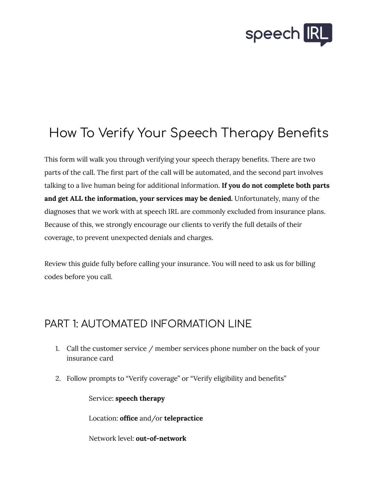

## How To Verify Your Speech Therapy Benefits

This form will walk you through verifying your speech therapy benefits. There are two parts of the call. The first part of the call will be automated, and the second part involves talking to a live human being for additional information. **If you do not complete both parts and get ALL the information, your services may be denied.** Unfortunately, many of the diagnoses that we work with at speech IRL are commonly excluded from insurance plans. Because of this, we strongly encourage our clients to verify the full details of their coverage, to prevent unexpected denials and charges.

Review this guide fully before calling your insurance. You will need to ask us for billing codes before you call.

## PART 1: AUTOMATED INFORMATION LINE

- 1. Call the customer service / member services phone number on the back of your insurance card
- 2. Follow prompts to "Verify coverage" or "Verify eligibility and benefits"

Service: **speech therapy**

Location: **office** and/or **telepractice**

Network level: **out-of-network**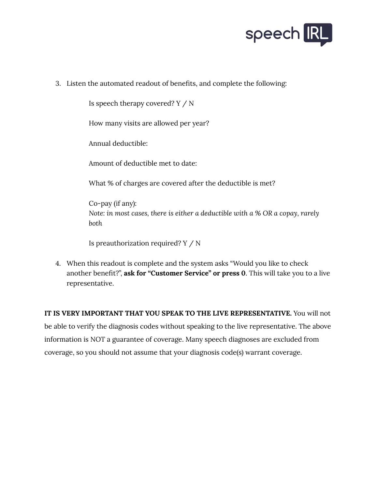

3. Listen the automated readout of benefits, and complete the following:

Is speech therapy covered? Y / N

How many visits are allowed per year?

Annual deductible:

Amount of deductible met to date:

What % of charges are covered after the deductible is met?

Co-pay (if any): *Note: in most cases, there is either a deductible with a % OR a copay, rarely both*

Is preauthorization required? Y / N

4. When this readout is complete and the system asks "Would you like to check another benefit?", **ask for "Customer Service" or press 0**. This will take you to a live representative.

**IT IS VERY IMPORTANT THAT YOU SPEAK TO THE LIVE REPRESENTATIVE.** You will not be able to verify the diagnosis codes without speaking to the live representative. The above information is NOT a guarantee of coverage. Many speech diagnoses are excluded from coverage, so you should not assume that your diagnosis code(s) warrant coverage.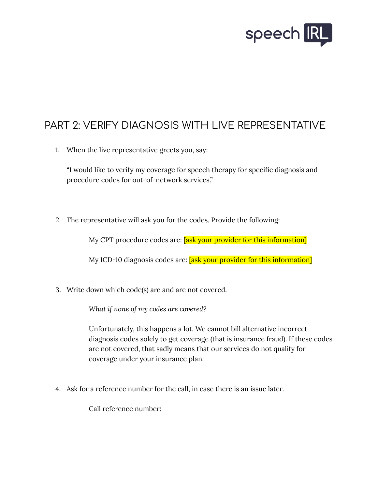

## PART 2: VERIFY DIAGNOSIS WITH LIVE REPRESENTATIVE

1. When the live representative greets you, say:

"I would like to verify my coverage for speech therapy for specific diagnosis and procedure codes for out-of-network services."

2. The representative will ask you for the codes. Provide the following:

My CPT procedure codes are: **[ask your provider for this information]** 

My ICD-10 diagnosis codes are: **[ask your provider for this information]** 

3. Write down which code(s) are and are not covered.

*What if none of my codes are covered?*

Unfortunately, this happens a lot. We cannot bill alternative incorrect diagnosis codes solely to get coverage (that is insurance fraud). If these codes are not covered, that sadly means that our services do not qualify for coverage under your insurance plan.

4. Ask for a reference number for the call, in case there is an issue later.

Call reference number: